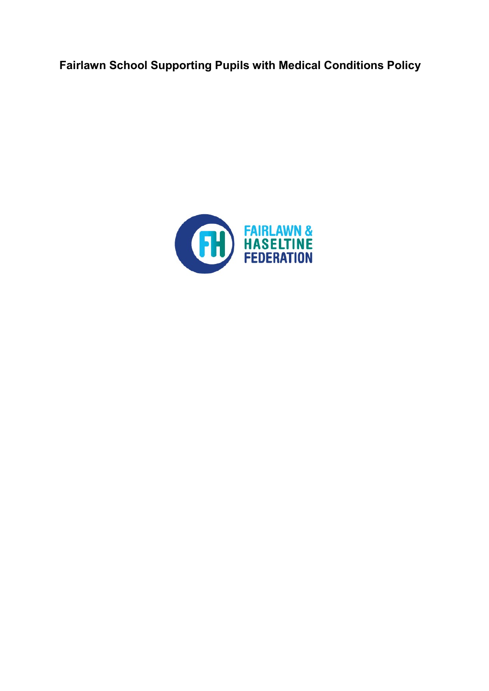**Fairlawn School Supporting Pupils with Medical Conditions Policy**

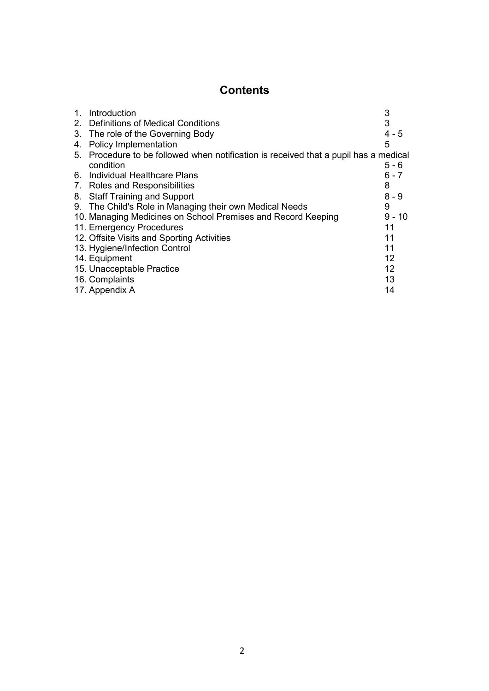# **Contents**

| 1. | Introduction                                                                         | 3        |
|----|--------------------------------------------------------------------------------------|----------|
|    | 2. Definitions of Medical Conditions                                                 | 3        |
|    | 3. The role of the Governing Body                                                    | 4 - 5    |
| 4. | <b>Policy Implementation</b>                                                         | 5        |
|    | 5. Procedure to be followed when notification is received that a pupil has a medical |          |
|    | condition                                                                            | 5 - 6    |
| 6. | Individual Healthcare Plans                                                          | 6 - 7    |
|    | 7. Roles and Responsibilities                                                        | 8        |
| 8. | <b>Staff Training and Support</b>                                                    | $8 - 9$  |
|    | 9. The Child's Role in Managing their own Medical Needs                              | 9        |
|    | 10. Managing Medicines on School Premises and Record Keeping                         | $9 - 10$ |
|    | 11. Emergency Procedures                                                             | 11       |
|    | 12. Offsite Visits and Sporting Activities                                           | 11       |
|    | 13. Hygiene/Infection Control                                                        | 11       |
|    | 14. Equipment                                                                        | 12       |
|    | 15. Unacceptable Practice                                                            | 12       |
|    | 16. Complaints                                                                       | 13       |
|    | 17. Appendix A                                                                       | 14       |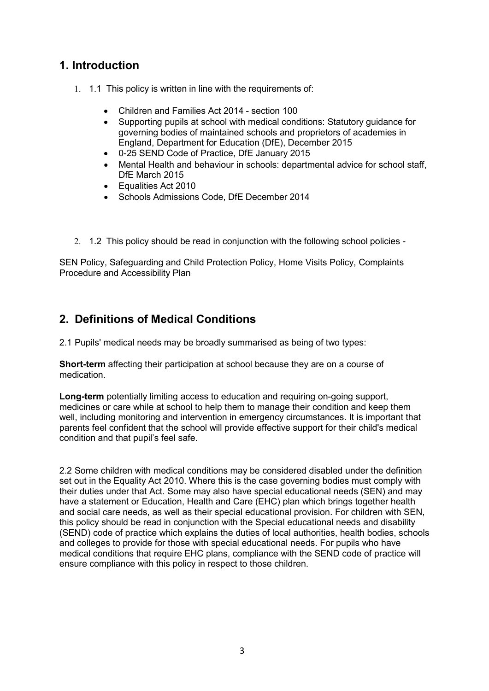### <span id="page-2-0"></span>**1. Introduction**

- 1. 1.1 This policy is written in line with the requirements of:
	- Children and Families Act 2014 section 100
	- Supporting pupils at school with medical conditions: Statutory guidance for governing bodies of maintained schools and proprietors of academies in England, Department for Education (DfE), December 2015
	- 0-25 SEND Code of Practice, DfE January 2015
	- Mental Health and behaviour in schools: departmental advice for school staff, DfE March 2015
	- Equalities Act 2010
	- Schools Admissions Code, DfE December 2014
- 2. 1.2 This policy should be read in conjunction with the following school policies -

SEN Policy, Safeguarding and Child Protection Policy, Home Visits Policy, Complaints Procedure and Accessibility Plan

#### <span id="page-2-1"></span>**2. Definitions of Medical Conditions**

2.1 Pupils' medical needs may be broadly summarised as being of two types:

**Short-term** affecting their participation at school because they are on a course of medication.

**Long-term** potentially limiting access to education and requiring on-going support, medicines or care while at school to help them to manage their condition and keep them well, including monitoring and intervention in emergency circumstances. It is important that parents feel confident that the school will provide effective support for their child's medical condition and that pupil's feel safe.

2.2 Some children with medical conditions may be considered disabled under the definition set out in the Equality Act 2010. Where this is the case governing bodies must comply with their duties under that Act. Some may also have special educational needs (SEN) and may have a statement or Education, Health and Care (EHC) plan which brings together health and social care needs, as well as their special educational provision. For children with SEN, this policy should be read in conjunction with the Special educational needs and disability (SEND) code of practice which explains the duties of local authorities, health bodies, schools and colleges to provide for those with special educational needs. For pupils who have medical conditions that require EHC plans, compliance with the SEND code of practice will ensure compliance with this policy in respect to those children.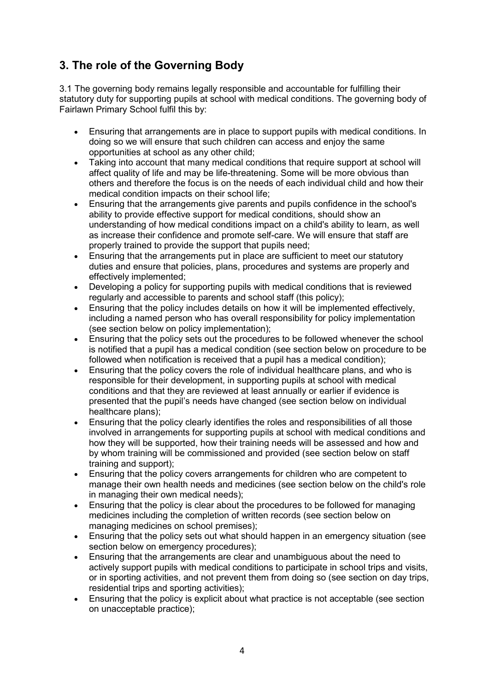# <span id="page-3-0"></span>**3. The role of the Governing Body**

3.1 The governing body remains legally responsible and accountable for fulfilling their statutory duty for supporting pupils at school with medical conditions. The governing body of Fairlawn Primary School fulfil this by:

- Ensuring that arrangements are in place to support pupils with medical conditions. In doing so we will ensure that such children can access and enjoy the same opportunities at school as any other child;
- Taking into account that many medical conditions that require support at school will affect quality of life and may be life-threatening. Some will be more obvious than others and therefore the focus is on the needs of each individual child and how their medical condition impacts on their school life;
- Ensuring that the arrangements give parents and pupils confidence in the school's ability to provide effective support for medical conditions, should show an understanding of how medical conditions impact on a child's ability to learn, as well as increase their confidence and promote self-care. We will ensure that staff are properly trained to provide the support that pupils need;
- Ensuring that the arrangements put in place are sufficient to meet our statutory duties and ensure that policies, plans, procedures and systems are properly and effectively implemented;
- Developing a policy for supporting pupils with medical conditions that is reviewed regularly and accessible to parents and school staff (this policy);
- Ensuring that the policy includes details on how it will be implemented effectively, including a named person who has overall responsibility for policy implementation (see section below on policy implementation);
- Ensuring that the policy sets out the procedures to be followed whenever the school is notified that a pupil has a medical condition (see section below on procedure to be followed when notification is received that a pupil has a medical condition);
- Ensuring that the policy covers the role of individual healthcare plans, and who is responsible for their development, in supporting pupils at school with medical conditions and that they are reviewed at least annually or earlier if evidence is presented that the pupil's needs have changed (see section below on individual healthcare plans);
- Ensuring that the policy clearly identifies the roles and responsibilities of all those involved in arrangements for supporting pupils at school with medical conditions and how they will be supported, how their training needs will be assessed and how and by whom training will be commissioned and provided (see section below on staff training and support);
- Ensuring that the policy covers arrangements for children who are competent to manage their own health needs and medicines (see section below on the child's role in managing their own medical needs);
- Ensuring that the policy is clear about the procedures to be followed for managing medicines including the completion of written records (see section below on managing medicines on school premises);
- Ensuring that the policy sets out what should happen in an emergency situation (see section below on emergency procedures);
- Ensuring that the arrangements are clear and unambiguous about the need to actively support pupils with medical conditions to participate in school trips and visits, or in sporting activities, and not prevent them from doing so (see section on day trips, residential trips and sporting activities);
- Ensuring that the policy is explicit about what practice is not acceptable (see section on unacceptable practice);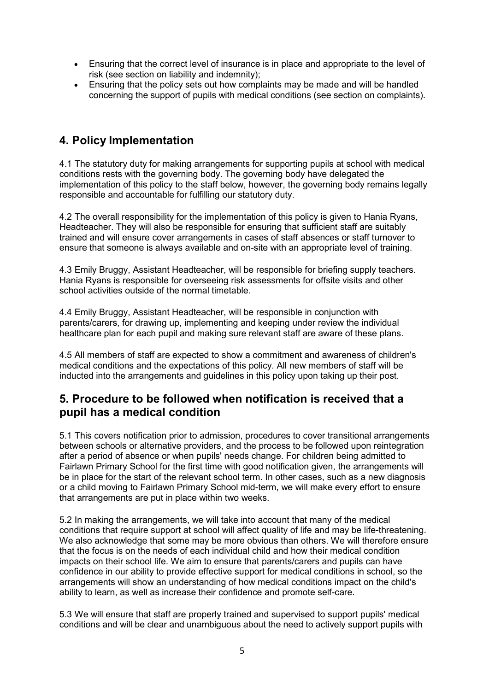- Ensuring that the correct level of insurance is in place and appropriate to the level of risk (see section on liability and indemnity);
- Ensuring that the policy sets out how complaints may be made and will be handled concerning the support of pupils with medical conditions (see section on complaints).

### <span id="page-4-0"></span>**4. Policy Implementation**

4.1 The statutory duty for making arrangements for supporting pupils at school with medical conditions rests with the governing body. The governing body have delegated the implementation of this policy to the staff below, however, the governing body remains legally responsible and accountable for fulfilling our statutory duty.

4.2 The overall responsibility for the implementation of this policy is given to Hania Ryans, Headteacher. They will also be responsible for ensuring that sufficient staff are suitably trained and will ensure cover arrangements in cases of staff absences or staff turnover to ensure that someone is always available and on-site with an appropriate level of training.

4.3 Emily Bruggy, Assistant Headteacher, will be responsible for briefing supply teachers. Hania Ryans is responsible for overseeing risk assessments for offsite visits and other school activities outside of the normal timetable.

4.4 Emily Bruggy, Assistant Headteacher, will be responsible in conjunction with parents/carers, for drawing up, implementing and keeping under review the individual healthcare plan for each pupil and making sure relevant staff are aware of these plans.

4.5 All members of staff are expected to show a commitment and awareness of children's medical conditions and the expectations of this policy. All new members of staff will be inducted into the arrangements and guidelines in this policy upon taking up their post.

#### <span id="page-4-1"></span>**5. Procedure to be followed when notification is received that a pupil has a medical condition**

5.1 This covers notification prior to admission, procedures to cover transitional arrangements between schools or alternative providers, and the process to be followed upon reintegration after a period of absence or when pupils' needs change. For children being admitted to Fairlawn Primary School for the first time with good notification given, the arrangements will be in place for the start of the relevant school term. In other cases, such as a new diagnosis or a child moving to Fairlawn Primary School mid-term, we will make every effort to ensure that arrangements are put in place within two weeks.

5.2 In making the arrangements, we will take into account that many of the medical conditions that require support at school will affect quality of life and may be life-threatening. We also acknowledge that some may be more obvious than others. We will therefore ensure that the focus is on the needs of each individual child and how their medical condition impacts on their school life. We aim to ensure that parents/carers and pupils can have confidence in our ability to provide effective support for medical conditions in school, so the arrangements will show an understanding of how medical conditions impact on the child's ability to learn, as well as increase their confidence and promote self-care.

5.3 We will ensure that staff are properly trained and supervised to support pupils' medical conditions and will be clear and unambiguous about the need to actively support pupils with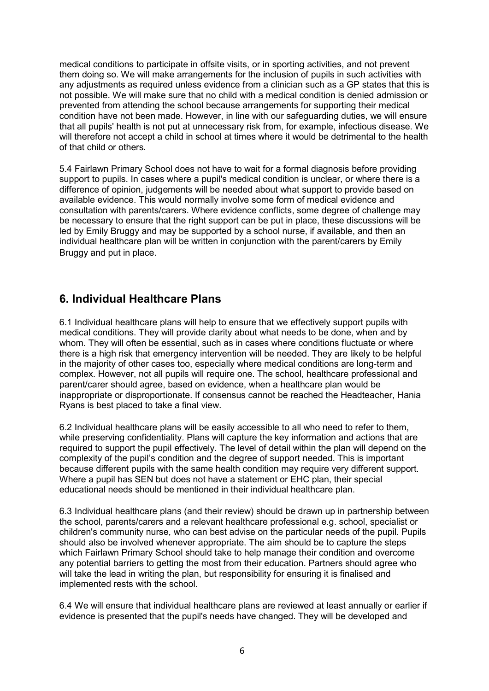medical conditions to participate in offsite visits, or in sporting activities, and not prevent them doing so. We will make arrangements for the inclusion of pupils in such activities with any adjustments as required unless evidence from a clinician such as a GP states that this is not possible. We will make sure that no child with a medical condition is denied admission or prevented from attending the school because arrangements for supporting their medical condition have not been made. However, in line with our safeguarding duties, we will ensure that all pupils' health is not put at unnecessary risk from, for example, infectious disease. We will therefore not accept a child in school at times where it would be detrimental to the health of that child or others.

5.4 Fairlawn Primary School does not have to wait for a formal diagnosis before providing support to pupils. In cases where a pupil's medical condition is unclear, or where there is a difference of opinion, judgements will be needed about what support to provide based on available evidence. This would normally involve some form of medical evidence and consultation with parents/carers. Where evidence conflicts, some degree of challenge may be necessary to ensure that the right support can be put in place, these discussions will be led by Emily Bruggy and may be supported by a school nurse, if available, and then an individual healthcare plan will be written in conjunction with the parent/carers by Emily Bruggy and put in place.

#### <span id="page-5-0"></span>**6. Individual Healthcare Plans**

6.1 Individual healthcare plans will help to ensure that we effectively support pupils with medical conditions. They will provide clarity about what needs to be done, when and by whom. They will often be essential, such as in cases where conditions fluctuate or where there is a high risk that emergency intervention will be needed. They are likely to be helpful in the majority of other cases too, especially where medical conditions are long-term and complex. However, not all pupils will require one. The school, healthcare professional and parent/carer should agree, based on evidence, when a healthcare plan would be inappropriate or disproportionate. If consensus cannot be reached the Headteacher, Hania Ryans is best placed to take a final view.

6.2 Individual healthcare plans will be easily accessible to all who need to refer to them, while preserving confidentiality. Plans will capture the key information and actions that are required to support the pupil effectively. The level of detail within the plan will depend on the complexity of the pupil's condition and the degree of support needed. This is important because different pupils with the same health condition may require very different support. Where a pupil has SEN but does not have a statement or EHC plan, their special educational needs should be mentioned in their individual healthcare plan.

6.3 Individual healthcare plans (and their review) should be drawn up in partnership between the school, parents/carers and a relevant healthcare professional e.g. school, specialist or children's community nurse, who can best advise on the particular needs of the pupil. Pupils should also be involved whenever appropriate. The aim should be to capture the steps which Fairlawn Primary School should take to help manage their condition and overcome any potential barriers to getting the most from their education. Partners should agree who will take the lead in writing the plan, but responsibility for ensuring it is finalised and implemented rests with the school.

6.4 We will ensure that individual healthcare plans are reviewed at least annually or earlier if evidence is presented that the pupil's needs have changed. They will be developed and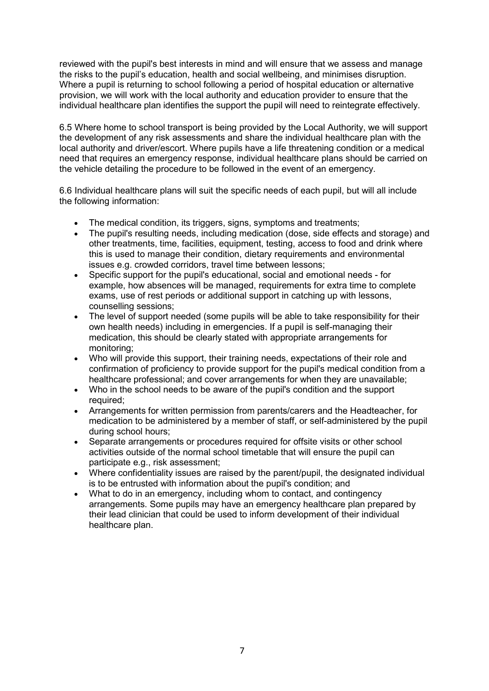reviewed with the pupil's best interests in mind and will ensure that we assess and manage the risks to the pupil's education, health and social wellbeing, and minimises disruption. Where a pupil is returning to school following a period of hospital education or alternative provision, we will work with the local authority and education provider to ensure that the individual healthcare plan identifies the support the pupil will need to reintegrate effectively.

6.5 Where home to school transport is being provided by the Local Authority, we will support the development of any risk assessments and share the individual healthcare plan with the local authority and driver/escort. Where pupils have a life threatening condition or a medical need that requires an emergency response, individual healthcare plans should be carried on the vehicle detailing the procedure to be followed in the event of an emergency.

6.6 Individual healthcare plans will suit the specific needs of each pupil, but will all include the following information:

- The medical condition, its triggers, signs, symptoms and treatments;
- The pupil's resulting needs, including medication (dose, side effects and storage) and other treatments, time, facilities, equipment, testing, access to food and drink where this is used to manage their condition, dietary requirements and environmental issues e.g. crowded corridors, travel time between lessons;
- Specific support for the pupil's educational, social and emotional needs for example, how absences will be managed, requirements for extra time to complete exams, use of rest periods or additional support in catching up with lessons, counselling sessions;
- The level of support needed (some pupils will be able to take responsibility for their own health needs) including in emergencies. If a pupil is self-managing their medication, this should be clearly stated with appropriate arrangements for monitoring;
- Who will provide this support, their training needs, expectations of their role and confirmation of proficiency to provide support for the pupil's medical condition from a healthcare professional; and cover arrangements for when they are unavailable;
- Who in the school needs to be aware of the pupil's condition and the support required;
- Arrangements for written permission from parents/carers and the Headteacher, for medication to be administered by a member of staff, or self-administered by the pupil during school hours;
- Separate arrangements or procedures required for offsite visits or other school activities outside of the normal school timetable that will ensure the pupil can participate e.g., risk assessment;
- Where confidentiality issues are raised by the parent/pupil, the designated individual is to be entrusted with information about the pupil's condition; and
- What to do in an emergency, including whom to contact, and contingency arrangements. Some pupils may have an emergency healthcare plan prepared by their lead clinician that could be used to inform development of their individual healthcare plan.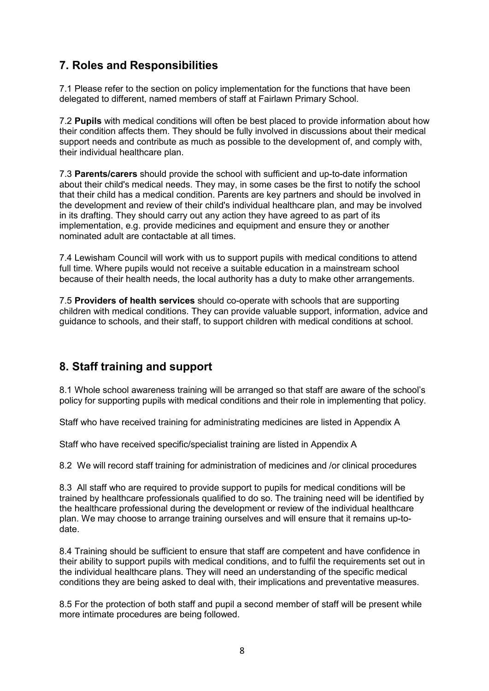### <span id="page-7-0"></span>**7. Roles and Responsibilities**

7.1 Please refer to the section on policy implementation for the functions that have been delegated to different, named members of staff at Fairlawn Primary School.

7.2 **Pupils** with medical conditions will often be best placed to provide information about how their condition affects them. They should be fully involved in discussions about their medical support needs and contribute as much as possible to the development of, and comply with, their individual healthcare plan.

7.3 **Parents/carers** should provide the school with sufficient and up-to-date information about their child's medical needs. They may, in some cases be the first to notify the school that their child has a medical condition. Parents are key partners and should be involved in the development and review of their child's individual healthcare plan, and may be involved in its drafting. They should carry out any action they have agreed to as part of its implementation, e.g. provide medicines and equipment and ensure they or another nominated adult are contactable at all times.

7.4 Lewisham Council will work with us to support pupils with medical conditions to attend full time. Where pupils would not receive a suitable education in a mainstream school because of their health needs, the local authority has a duty to make other arrangements.

7.5 **Providers of health services** should co-operate with schools that are supporting children with medical conditions. They can provide valuable support, information, advice and guidance to schools, and their staff, to support children with medical conditions at school.

### <span id="page-7-1"></span>**8. Staff training and support**

8.1 Whole school awareness training will be arranged so that staff are aware of the school's policy for supporting pupils with medical conditions and their role in implementing that policy.

Staff who have received training for administrating medicines are listed in Appendix A

Staff who have received specific/specialist training are listed in Appendix A

8.2 We will record staff training for administration of medicines and /or clinical procedures

8.3 All staff who are required to provide support to pupils for medical conditions will be trained by healthcare professionals qualified to do so. The training need will be identified by the healthcare professional during the development or review of the individual healthcare plan. We may choose to arrange training ourselves and will ensure that it remains up-todate.

8.4 Training should be sufficient to ensure that staff are competent and have confidence in their ability to support pupils with medical conditions, and to fulfil the requirements set out in the individual healthcare plans. They will need an understanding of the specific medical conditions they are being asked to deal with, their implications and preventative measures.

8.5 For the protection of both staff and pupil a second member of staff will be present while more intimate procedures are being followed.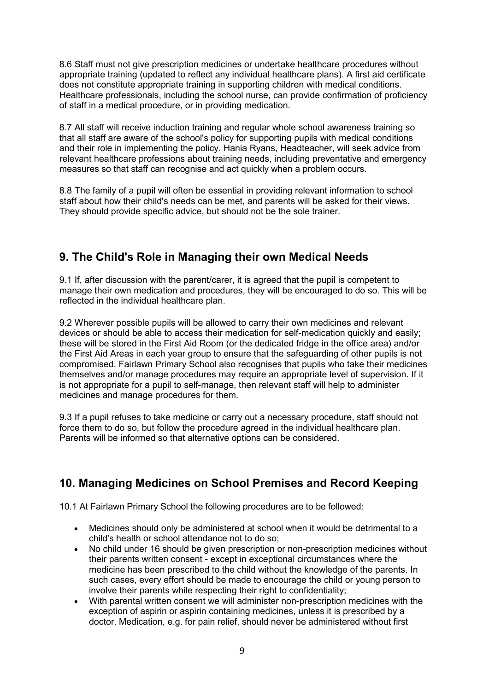8.6 Staff must not give prescription medicines or undertake healthcare procedures without appropriate training (updated to reflect any individual healthcare plans). A first aid certificate does not constitute appropriate training in supporting children with medical conditions. Healthcare professionals, including the school nurse, can provide confirmation of proficiency of staff in a medical procedure, or in providing medication.

8.7 All staff will receive induction training and regular whole school awareness training so that all staff are aware of the school's policy for supporting pupils with medical conditions and their role in implementing the policy. Hania Ryans, Headteacher, will seek advice from relevant healthcare professions about training needs, including preventative and emergency measures so that staff can recognise and act quickly when a problem occurs.

8.8 The family of a pupil will often be essential in providing relevant information to school staff about how their child's needs can be met, and parents will be asked for their views. They should provide specific advice, but should not be the sole trainer.

#### <span id="page-8-0"></span>**9. The Child's Role in Managing their own Medical Needs**

9.1 If, after discussion with the parent/carer, it is agreed that the pupil is competent to manage their own medication and procedures, they will be encouraged to do so. This will be reflected in the individual healthcare plan.

9.2 Wherever possible pupils will be allowed to carry their own medicines and relevant devices or should be able to access their medication for self-medication quickly and easily; these will be stored in the First Aid Room (or the dedicated fridge in the office area) and/or the First Aid Areas in each year group to ensure that the safeguarding of other pupils is not compromised. Fairlawn Primary School also recognises that pupils who take their medicines themselves and/or manage procedures may require an appropriate level of supervision. If it is not appropriate for a pupil to self-manage, then relevant staff will help to administer medicines and manage procedures for them.

9.3 If a pupil refuses to take medicine or carry out a necessary procedure, staff should not force them to do so, but follow the procedure agreed in the individual healthcare plan. Parents will be informed so that alternative options can be considered.

### <span id="page-8-1"></span>**10. Managing Medicines on School Premises and Record Keeping**

10.1 At Fairlawn Primary School the following procedures are to be followed:

- Medicines should only be administered at school when it would be detrimental to a child's health or school attendance not to do so;
- No child under 16 should be given prescription or non-prescription medicines without their parents written consent - except in exceptional circumstances where the medicine has been prescribed to the child without the knowledge of the parents. In such cases, every effort should be made to encourage the child or young person to involve their parents while respecting their right to confidentiality;
- With parental written consent we will administer non-prescription medicines with the exception of aspirin or aspirin containing medicines, unless it is prescribed by a doctor. Medication, e.g. for pain relief, should never be administered without first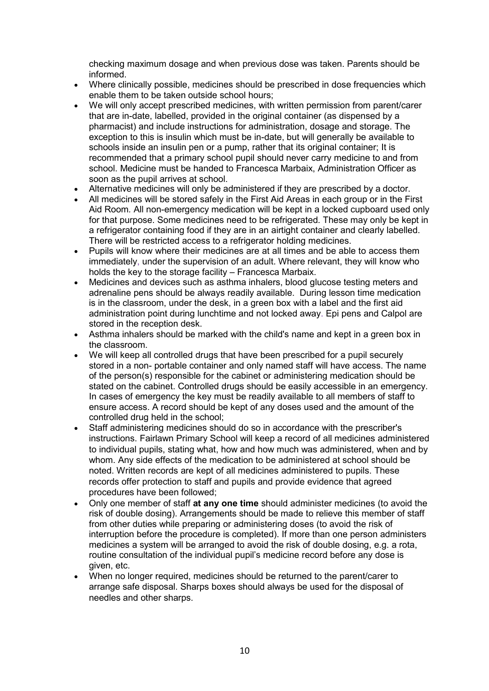checking maximum dosage and when previous dose was taken. Parents should be informed.

- Where clinically possible, medicines should be prescribed in dose frequencies which enable them to be taken outside school hours;
- We will only accept prescribed medicines, with written permission from parent/carer that are in-date, labelled, provided in the original container (as dispensed by a pharmacist) and include instructions for administration, dosage and storage. The exception to this is insulin which must be in-date, but will generally be available to schools inside an insulin pen or a pump, rather that its original container; It is recommended that a primary school pupil should never carry medicine to and from school. Medicine must be handed to Francesca Marbaix, Administration Officer as soon as the pupil arrives at school.
- Alternative medicines will only be administered if they are prescribed by a doctor.
- All medicines will be stored safely in the First Aid Areas in each group or in the First Aid Room*.* All non-emergency medication will be kept in a locked cupboard used only for that purpose. Some medicines need to be refrigerated. These may only be kept in a refrigerator containing food if they are in an airtight container and clearly labelled. There will be restricted access to a refrigerator holding medicines.
- Pupils will know where their medicines are at all times and be able to access them immediately, under the supervision of an adult. Where relevant, they will know who holds the key to the storage facility – Francesca Marbaix.
- Medicines and devices such as asthma inhalers, blood glucose testing meters and adrenaline pens should be always readily available. During lesson time medication is in the classroom, under the desk, in a green box with a label and the first aid administration point during lunchtime and not locked away. Epi pens and Calpol are stored in the reception desk.
- Asthma inhalers should be marked with the child's name and kept in a green box in the classroom.
- We will keep all controlled drugs that have been prescribed for a pupil securely stored in a non- portable container and only named staff will have access. The name of the person(s) responsible for the cabinet or administering medication should be stated on the cabinet. Controlled drugs should be easily accessible in an emergency. In cases of emergency the key must be readily available to all members of staff to ensure access. A record should be kept of any doses used and the amount of the controlled drug held in the school;
- Staff administering medicines should do so in accordance with the prescriber's instructions. Fairlawn Primary School will keep a record of all medicines administered to individual pupils, stating what, how and how much was administered, when and by whom. Any side effects of the medication to be administered at school should be noted. Written records are kept of all medicines administered to pupils. These records offer protection to staff and pupils and provide evidence that agreed procedures have been followed;
- Only one member of staff **at any one time** should administer medicines (to avoid the risk of double dosing). Arrangements should be made to relieve this member of staff from other duties while preparing or administering doses (to avoid the risk of interruption before the procedure is completed). If more than one person administers medicines a system will be arranged to avoid the risk of double dosing, e.g. a rota, routine consultation of the individual pupil's medicine record before any dose is given, etc.
- When no longer required, medicines should be returned to the parent/carer to arrange safe disposal. Sharps boxes should always be used for the disposal of needles and other sharps.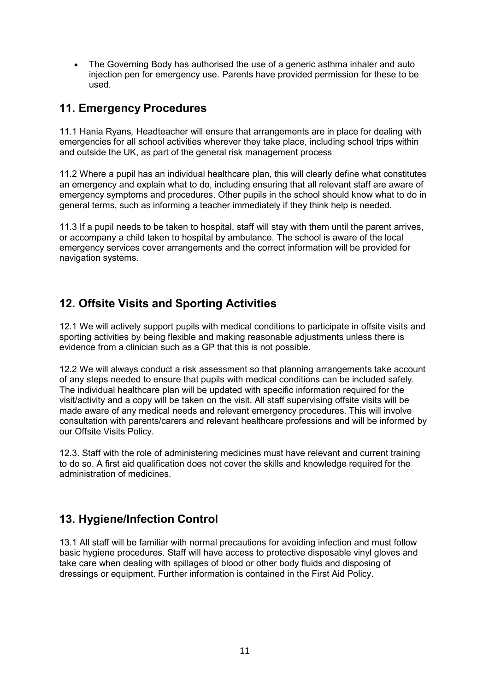• The Governing Body has authorised the use of a generic asthma inhaler and auto injection pen for emergency use. Parents have provided permission for these to be used.

#### <span id="page-10-0"></span>**11. Emergency Procedures**

11.1 Hania Ryans*,* Headteacher will ensure that arrangements are in place for dealing with emergencies for all school activities wherever they take place, including school trips within and outside the UK, as part of the general risk management process

11.2 Where a pupil has an individual healthcare plan, this will clearly define what constitutes an emergency and explain what to do, including ensuring that all relevant staff are aware of emergency symptoms and procedures. Other pupils in the school should know what to do in general terms, such as informing a teacher immediately if they think help is needed.

11.3 If a pupil needs to be taken to hospital, staff will stay with them until the parent arrives, or accompany a child taken to hospital by ambulance. The school is aware of the local emergency services cover arrangements and the correct information will be provided for navigation systems.

## <span id="page-10-1"></span>**12. Offsite Visits and Sporting Activities**

12.1 We will actively support pupils with medical conditions to participate in offsite visits and sporting activities by being flexible and making reasonable adjustments unless there is evidence from a clinician such as a GP that this is not possible.

12.2 We will always conduct a risk assessment so that planning arrangements take account of any steps needed to ensure that pupils with medical conditions can be included safely. The individual healthcare plan will be updated with specific information required for the visit/activity and a copy will be taken on the visit. All staff supervising offsite visits will be made aware of any medical needs and relevant emergency procedures. This will involve consultation with parents/carers and relevant healthcare professions and will be informed by our Offsite Visits Policy.

12.3. Staff with the role of administering medicines must have relevant and current training to do so. A first aid qualification does not cover the skills and knowledge required for the administration of medicines.

### <span id="page-10-2"></span>**13. Hygiene/Infection Control**

13.1 All staff will be familiar with normal precautions for avoiding infection and must follow basic hygiene procedures. Staff will have access to protective disposable vinyl gloves and take care when dealing with spillages of blood or other body fluids and disposing of dressings or equipment. Further information is contained in the First Aid Policy.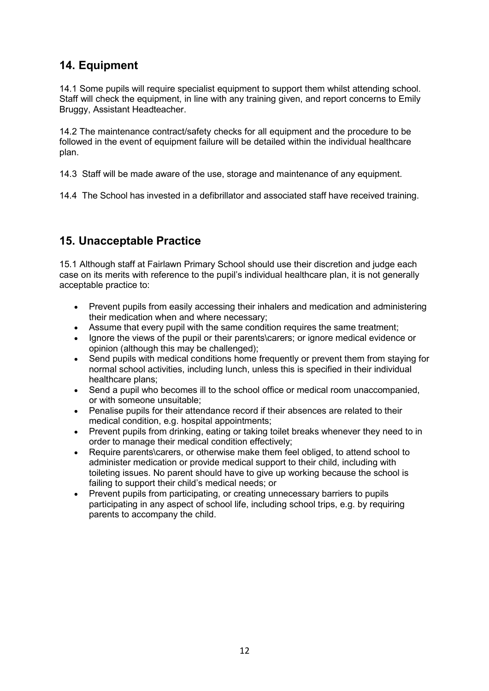### <span id="page-11-0"></span>**14. Equipment**

14.1 Some pupils will require specialist equipment to support them whilst attending school. Staff will check the equipment, in line with any training given, and report concerns to Emily Bruggy, Assistant Headteacher.

14.2 The maintenance contract/safety checks for all equipment and the procedure to be followed in the event of equipment failure will be detailed within the individual healthcare plan.

14.3 Staff will be made aware of the use, storage and maintenance of any equipment.

14.4 The School has invested in a defibrillator and associated staff have received training.

### <span id="page-11-1"></span>**15. Unacceptable Practice**

15.1 Although staff at Fairlawn Primary School should use their discretion and judge each case on its merits with reference to the pupil's individual healthcare plan, it is not generally acceptable practice to:

- Prevent pupils from easily accessing their inhalers and medication and administering their medication when and where necessary;
- Assume that every pupil with the same condition requires the same treatment;
- Ignore the views of the pupil or their parents\carers; or ignore medical evidence or opinion (although this may be challenged);
- Send pupils with medical conditions home frequently or prevent them from staying for normal school activities, including lunch, unless this is specified in their individual healthcare plans;
- Send a pupil who becomes ill to the school office or medical room unaccompanied, or with someone unsuitable;
- Penalise pupils for their attendance record if their absences are related to their medical condition, e.g. hospital appointments;
- Prevent pupils from drinking, eating or taking toilet breaks whenever they need to in order to manage their medical condition effectively;
- Require parents\carers, or otherwise make them feel obliged, to attend school to administer medication or provide medical support to their child, including with toileting issues. No parent should have to give up working because the school is failing to support their child's medical needs; or
- Prevent pupils from participating, or creating unnecessary barriers to pupils participating in any aspect of school life, including school trips, e.g. by requiring parents to accompany the child.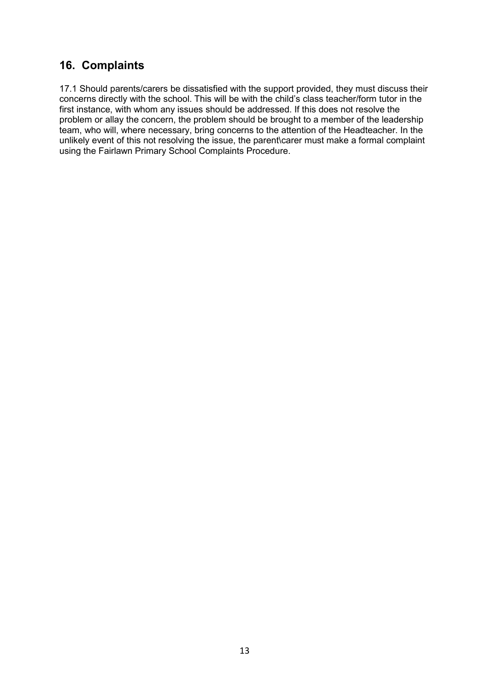#### <span id="page-12-0"></span>**16. Complaints**

17.1 Should parents/carers be dissatisfied with the support provided, they must discuss their concerns directly with the school. This will be with the child's class teacher/form tutor in the first instance, with whom any issues should be addressed. If this does not resolve the problem or allay the concern, the problem should be brought to a member of the leadership team, who will, where necessary, bring concerns to the attention of the Headteacher. In the unlikely event of this not resolving the issue, the parent\carer must make a formal complaint using the Fairlawn Primary School Complaints Procedure.